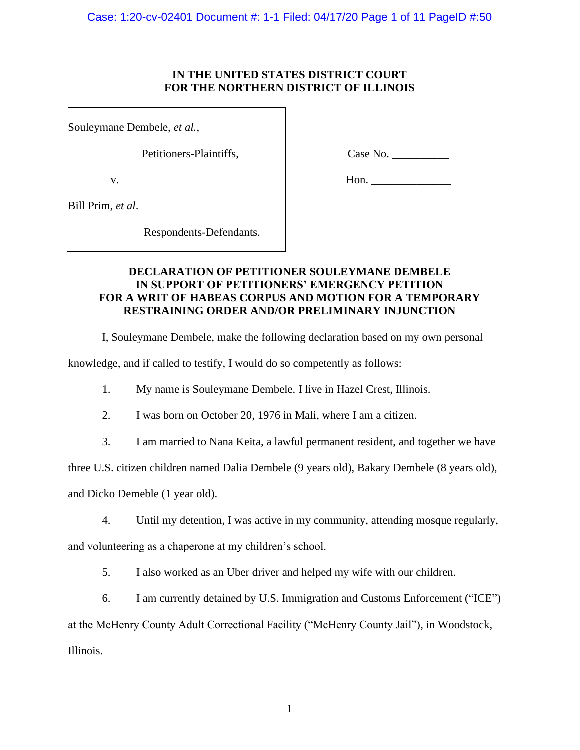## **IN THE UNITED STATES DISTRICT COURT FOR THE NORTHERN DISTRICT OF ILLINOIS**

Souleymane Dembele, *et al.*,

Petitioners-Plaintiffs,

v.

Case No. \_\_\_\_\_\_\_\_\_\_

Hon. \_\_\_\_\_\_\_\_\_\_\_\_\_\_

Bill Prim, *et al*.

Respondents-Defendants.

# **DECLARATION OF PETITIONER SOULEYMANE DEMBELE IN SUPPORT OF PETITIONERS' EMERGENCY PETITION FOR A WRIT OF HABEAS CORPUS AND MOTION FOR A TEMPORARY RESTRAINING ORDER AND/OR PRELIMINARY INJUNCTION**

I, Souleymane Dembele, make the following declaration based on my own personal

knowledge, and if called to testify, I would do so competently as follows:

- 1. My name is Souleymane Dembele. I live in Hazel Crest, Illinois.
- 2. I was born on October 20, 1976 in Mali, where I am a citizen.
- 3. I am married to Nana Keita, a lawful permanent resident, and together we have

three U.S. citizen children named Dalia Dembele (9 years old), Bakary Dembele (8 years old),

and Dicko Demeble (1 year old).

4. Until my detention, I was active in my community, attending mosque regularly,

and volunteering as a chaperone at my children's school.

5. I also worked as an Uber driver and helped my wife with our children.

6. I am currently detained by U.S. Immigration and Customs Enforcement ("ICE")

at the McHenry County Adult Correctional Facility ("McHenry County Jail"), in Woodstock, Illinois.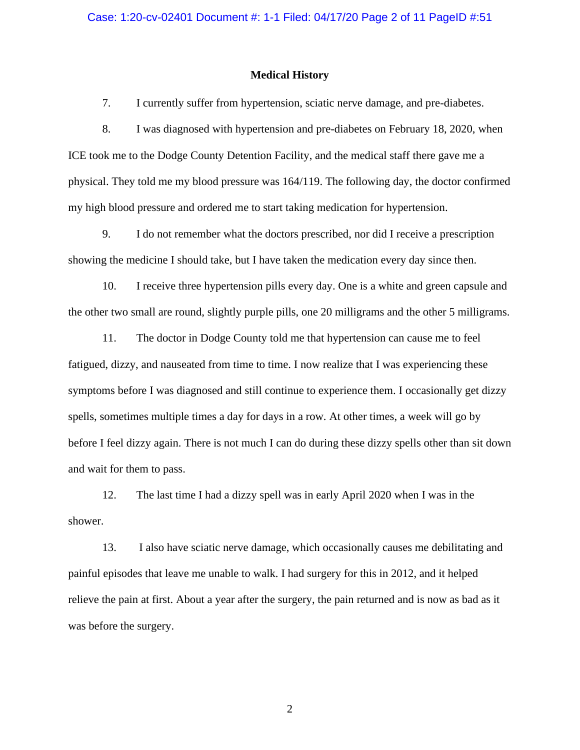#### **Medical History**

7. I currently suffer from hypertension, sciatic nerve damage, and pre-diabetes.

8. I was diagnosed with hypertension and pre-diabetes on February 18, 2020, when ICE took me to the Dodge County Detention Facility, and the medical staff there gave me a physical. They told me my blood pressure was 164/119. The following day, the doctor confirmed my high blood pressure and ordered me to start taking medication for hypertension.

9. I do not remember what the doctors prescribed, nor did I receive a prescription showing the medicine I should take, but I have taken the medication every day since then.

10. I receive three hypertension pills every day. One is a white and green capsule and the other two small are round, slightly purple pills, one 20 milligrams and the other 5 milligrams.

11. The doctor in Dodge County told me that hypertension can cause me to feel fatigued, dizzy, and nauseated from time to time. I now realize that I was experiencing these symptoms before I was diagnosed and still continue to experience them. I occasionally get dizzy spells, sometimes multiple times a day for days in a row. At other times, a week will go by before I feel dizzy again. There is not much I can do during these dizzy spells other than sit down and wait for them to pass.

12. The last time I had a dizzy spell was in early April 2020 when I was in the shower.

13. I also have sciatic nerve damage, which occasionally causes me debilitating and painful episodes that leave me unable to walk. I had surgery for this in 2012, and it helped relieve the pain at first. About a year after the surgery, the pain returned and is now as bad as it was before the surgery.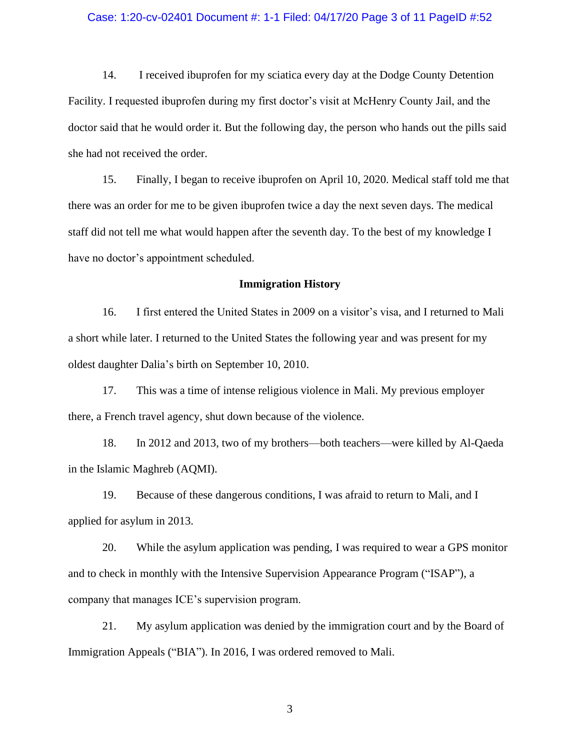#### Case: 1:20-cv-02401 Document #: 1-1 Filed: 04/17/20 Page 3 of 11 PageID #:52

14. I received ibuprofen for my sciatica every day at the Dodge County Detention Facility. I requested ibuprofen during my first doctor's visit at McHenry County Jail, and the doctor said that he would order it. But the following day, the person who hands out the pills said she had not received the order.

15. Finally, I began to receive ibuprofen on April 10, 2020. Medical staff told me that there was an order for me to be given ibuprofen twice a day the next seven days. The medical staff did not tell me what would happen after the seventh day. To the best of my knowledge I have no doctor's appointment scheduled.

#### **Immigration History**

16. I first entered the United States in 2009 on a visitor's visa, and I returned to Mali a short while later. I returned to the United States the following year and was present for my oldest daughter Dalia's birth on September 10, 2010.

17. This was a time of intense religious violence in Mali. My previous employer there, a French travel agency, shut down because of the violence.

18. In 2012 and 2013, two of my brothers—both teachers—were killed by Al-Qaeda in the Islamic Maghreb (AQMI).

19. Because of these dangerous conditions, I was afraid to return to Mali, and I applied for asylum in 2013.

20. While the asylum application was pending, I was required to wear a GPS monitor and to check in monthly with the Intensive Supervision Appearance Program ("ISAP"), a company that manages ICE's supervision program.

21. My asylum application was denied by the immigration court and by the Board of Immigration Appeals ("BIA"). In 2016, I was ordered removed to Mali.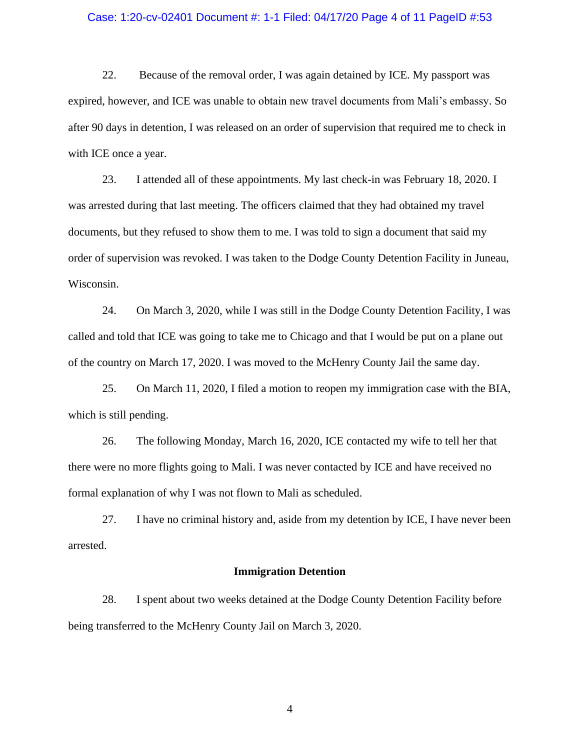#### Case: 1:20-cv-02401 Document #: 1-1 Filed: 04/17/20 Page 4 of 11 PageID #:53

22. Because of the removal order, I was again detained by ICE. My passport was expired, however, and ICE was unable to obtain new travel documents from Mali's embassy. So after 90 days in detention, I was released on an order of supervision that required me to check in with ICE once a year.

23. I attended all of these appointments. My last check-in was February 18, 2020. I was arrested during that last meeting. The officers claimed that they had obtained my travel documents, but they refused to show them to me. I was told to sign a document that said my order of supervision was revoked. I was taken to the Dodge County Detention Facility in Juneau, Wisconsin.

24. On March 3, 2020, while I was still in the Dodge County Detention Facility, I was called and told that ICE was going to take me to Chicago and that I would be put on a plane out of the country on March 17, 2020. I was moved to the McHenry County Jail the same day.

25. On March 11, 2020, I filed a motion to reopen my immigration case with the BIA, which is still pending.

26. The following Monday, March 16, 2020, ICE contacted my wife to tell her that there were no more flights going to Mali. I was never contacted by ICE and have received no formal explanation of why I was not flown to Mali as scheduled.

27. I have no criminal history and, aside from my detention by ICE, I have never been arrested.

#### **Immigration Detention**

28. I spent about two weeks detained at the Dodge County Detention Facility before being transferred to the McHenry County Jail on March 3, 2020.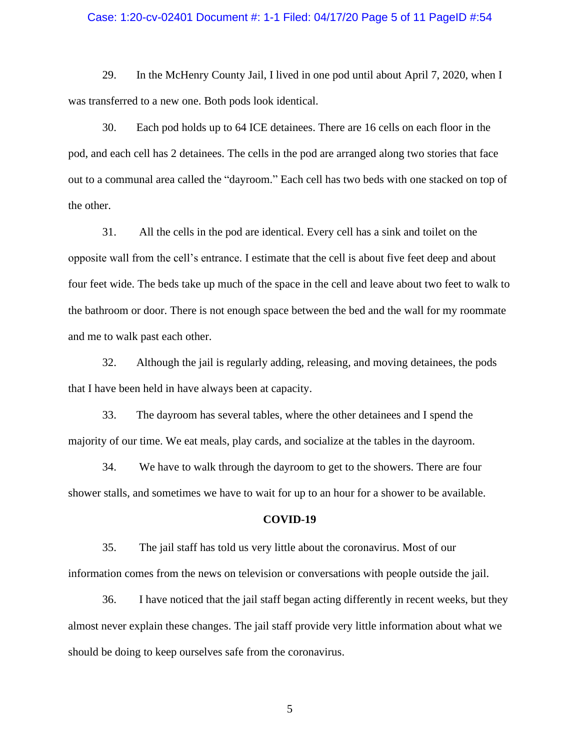#### Case: 1:20-cv-02401 Document #: 1-1 Filed: 04/17/20 Page 5 of 11 PageID #:54

29. In the McHenry County Jail, I lived in one pod until about April 7, 2020, when I was transferred to a new one. Both pods look identical.

30. Each pod holds up to 64 ICE detainees. There are 16 cells on each floor in the pod, and each cell has 2 detainees. The cells in the pod are arranged along two stories that face out to a communal area called the "dayroom." Each cell has two beds with one stacked on top of the other.

31. All the cells in the pod are identical. Every cell has a sink and toilet on the opposite wall from the cell's entrance. I estimate that the cell is about five feet deep and about four feet wide. The beds take up much of the space in the cell and leave about two feet to walk to the bathroom or door. There is not enough space between the bed and the wall for my roommate and me to walk past each other.

32. Although the jail is regularly adding, releasing, and moving detainees, the pods that I have been held in have always been at capacity.

33. The dayroom has several tables, where the other detainees and I spend the majority of our time. We eat meals, play cards, and socialize at the tables in the dayroom.

34. We have to walk through the dayroom to get to the showers. There are four shower stalls, and sometimes we have to wait for up to an hour for a shower to be available.

### **COVID-19**

35. The jail staff has told us very little about the coronavirus. Most of our information comes from the news on television or conversations with people outside the jail.

36. I have noticed that the jail staff began acting differently in recent weeks, but they almost never explain these changes. The jail staff provide very little information about what we should be doing to keep ourselves safe from the coronavirus.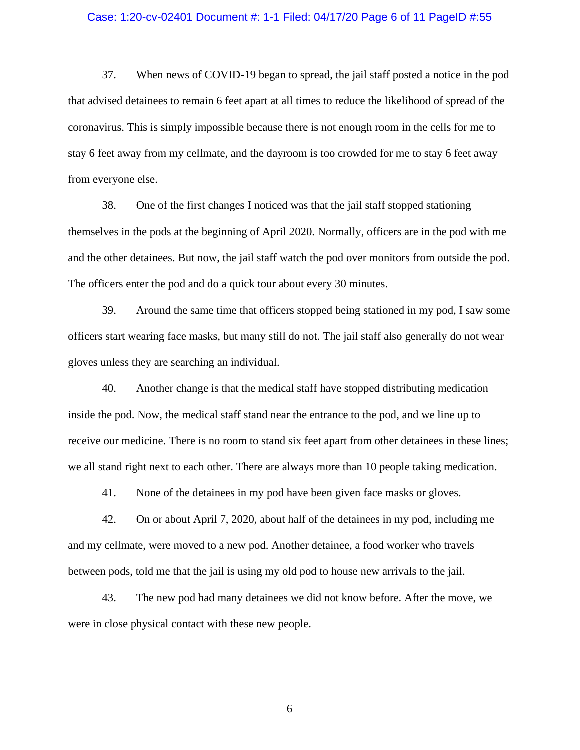#### Case: 1:20-cv-02401 Document #: 1-1 Filed: 04/17/20 Page 6 of 11 PageID #:55

37. When news of COVID-19 began to spread, the jail staff posted a notice in the pod that advised detainees to remain 6 feet apart at all times to reduce the likelihood of spread of the coronavirus. This is simply impossible because there is not enough room in the cells for me to stay 6 feet away from my cellmate, and the dayroom is too crowded for me to stay 6 feet away from everyone else.

38. One of the first changes I noticed was that the jail staff stopped stationing themselves in the pods at the beginning of April 2020. Normally, officers are in the pod with me and the other detainees. But now, the jail staff watch the pod over monitors from outside the pod. The officers enter the pod and do a quick tour about every 30 minutes.

39. Around the same time that officers stopped being stationed in my pod, I saw some officers start wearing face masks, but many still do not. The jail staff also generally do not wear gloves unless they are searching an individual.

40. Another change is that the medical staff have stopped distributing medication inside the pod. Now, the medical staff stand near the entrance to the pod, and we line up to receive our medicine. There is no room to stand six feet apart from other detainees in these lines; we all stand right next to each other. There are always more than 10 people taking medication.

41. None of the detainees in my pod have been given face masks or gloves.

42. On or about April 7, 2020, about half of the detainees in my pod, including me and my cellmate, were moved to a new pod. Another detainee, a food worker who travels between pods, told me that the jail is using my old pod to house new arrivals to the jail.

43. The new pod had many detainees we did not know before. After the move, we were in close physical contact with these new people.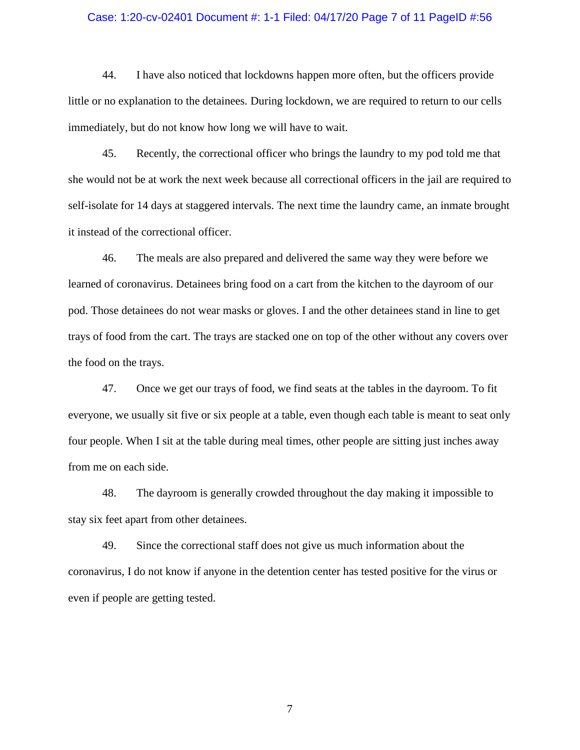#### Case: 1:20-cv-02401 Document #: 1-1 Filed: 04/17/20 Page 7 of 11 PageID #:56

44. I have also noticed that lockdowns happen more often, but the officers provide little or no explanation to the detainees. During lockdown, we are required to return to our cells immediately, but do not know how long we will have to wait.

45. Recently, the correctional officer who brings the laundry to my pod told me that she would not be at work the next week because all correctional officers in the jail are required to self-isolate for 14 days at staggered intervals. The next time the laundry came, an inmate brought it instead of the correctional officer.

46. The meals are also prepared and delivered the same way they were before we learned of coronavirus. Detainees bring food on a cart from the kitchen to the dayroom of our pod. Those detainees do not wear masks or gloves. I and the other detainees stand in line to get trays of food from the cart. The trays are stacked one on top of the other without any covers over the food on the trays.

47. Once we get our trays of food, we find seats at the tables in the dayroom. To fit everyone, we usually sit five or six people at a table, even though each table is meant to seat only four people. When I sit at the table during meal times, other people are sitting just inches away from me on each side.

48. The dayroom is generally crowded throughout the day making it impossible to stay six feet apart from other detainees.

49. Since the correctional staff does not give us much information about the coronavirus, I do not know if anyone in the detention center has tested positive for the virus or even if people are getting tested.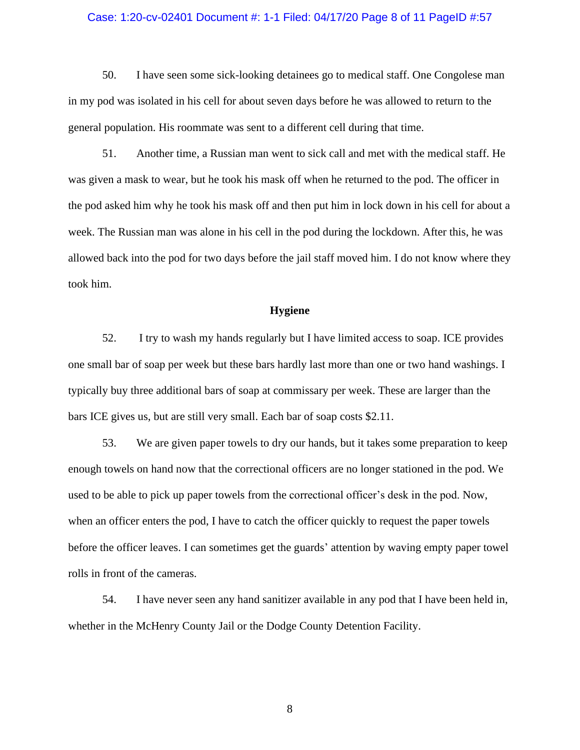#### Case: 1:20-cv-02401 Document #: 1-1 Filed: 04/17/20 Page 8 of 11 PageID #:57

50. I have seen some sick-looking detainees go to medical staff. One Congolese man in my pod was isolated in his cell for about seven days before he was allowed to return to the general population. His roommate was sent to a different cell during that time.

51. Another time, a Russian man went to sick call and met with the medical staff. He was given a mask to wear, but he took his mask off when he returned to the pod. The officer in the pod asked him why he took his mask off and then put him in lock down in his cell for about a week. The Russian man was alone in his cell in the pod during the lockdown. After this, he was allowed back into the pod for two days before the jail staff moved him. I do not know where they took him.

## **Hygiene**

52. I try to wash my hands regularly but I have limited access to soap. ICE provides one small bar of soap per week but these bars hardly last more than one or two hand washings. I typically buy three additional bars of soap at commissary per week. These are larger than the bars ICE gives us, but are still very small. Each bar of soap costs \$2.11.

53. We are given paper towels to dry our hands, but it takes some preparation to keep enough towels on hand now that the correctional officers are no longer stationed in the pod. We used to be able to pick up paper towels from the correctional officer's desk in the pod. Now, when an officer enters the pod, I have to catch the officer quickly to request the paper towels before the officer leaves. I can sometimes get the guards' attention by waving empty paper towel rolls in front of the cameras.

54. I have never seen any hand sanitizer available in any pod that I have been held in, whether in the McHenry County Jail or the Dodge County Detention Facility.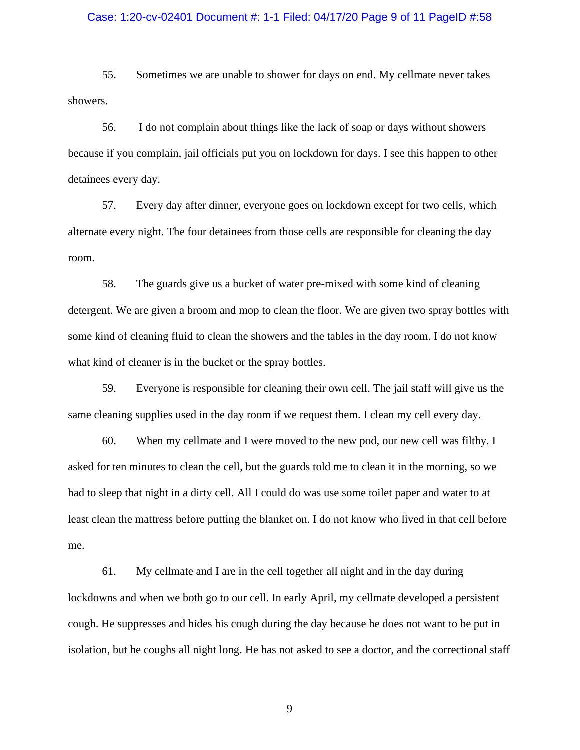#### Case: 1:20-cv-02401 Document #: 1-1 Filed: 04/17/20 Page 9 of 11 PageID #:58

55. Sometimes we are unable to shower for days on end. My cellmate never takes showers.

56. I do not complain about things like the lack of soap or days without showers because if you complain, jail officials put you on lockdown for days. I see this happen to other detainees every day.

57. Every day after dinner, everyone goes on lockdown except for two cells, which alternate every night. The four detainees from those cells are responsible for cleaning the day room.

58. The guards give us a bucket of water pre-mixed with some kind of cleaning detergent. We are given a broom and mop to clean the floor. We are given two spray bottles with some kind of cleaning fluid to clean the showers and the tables in the day room. I do not know what kind of cleaner is in the bucket or the spray bottles.

59. Everyone is responsible for cleaning their own cell. The jail staff will give us the same cleaning supplies used in the day room if we request them. I clean my cell every day.

60. When my cellmate and I were moved to the new pod, our new cell was filthy. I asked for ten minutes to clean the cell, but the guards told me to clean it in the morning, so we had to sleep that night in a dirty cell. All I could do was use some toilet paper and water to at least clean the mattress before putting the blanket on. I do not know who lived in that cell before me.

61. My cellmate and I are in the cell together all night and in the day during lockdowns and when we both go to our cell. In early April, my cellmate developed a persistent cough. He suppresses and hides his cough during the day because he does not want to be put in isolation, but he coughs all night long. He has not asked to see a doctor, and the correctional staff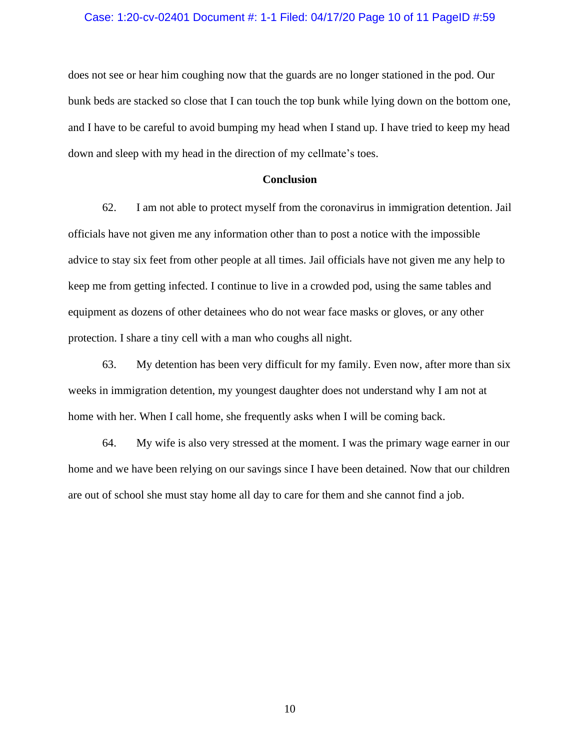### Case: 1:20-cv-02401 Document #: 1-1 Filed: 04/17/20 Page 10 of 11 PageID #:59

does not see or hear him coughing now that the guards are no longer stationed in the pod. Our bunk beds are stacked so close that I can touch the top bunk while lying down on the bottom one, and I have to be careful to avoid bumping my head when I stand up. I have tried to keep my head down and sleep with my head in the direction of my cellmate's toes.

### **Conclusion**

62. I am not able to protect myself from the coronavirus in immigration detention. Jail officials have not given me any information other than to post a notice with the impossible advice to stay six feet from other people at all times. Jail officials have not given me any help to keep me from getting infected. I continue to live in a crowded pod, using the same tables and equipment as dozens of other detainees who do not wear face masks or gloves, or any other protection. I share a tiny cell with a man who coughs all night.

63. My detention has been very difficult for my family. Even now, after more than six weeks in immigration detention, my youngest daughter does not understand why I am not at home with her. When I call home, she frequently asks when I will be coming back.

64. My wife is also very stressed at the moment. I was the primary wage earner in our home and we have been relying on our savings since I have been detained. Now that our children are out of school she must stay home all day to care for them and she cannot find a job.